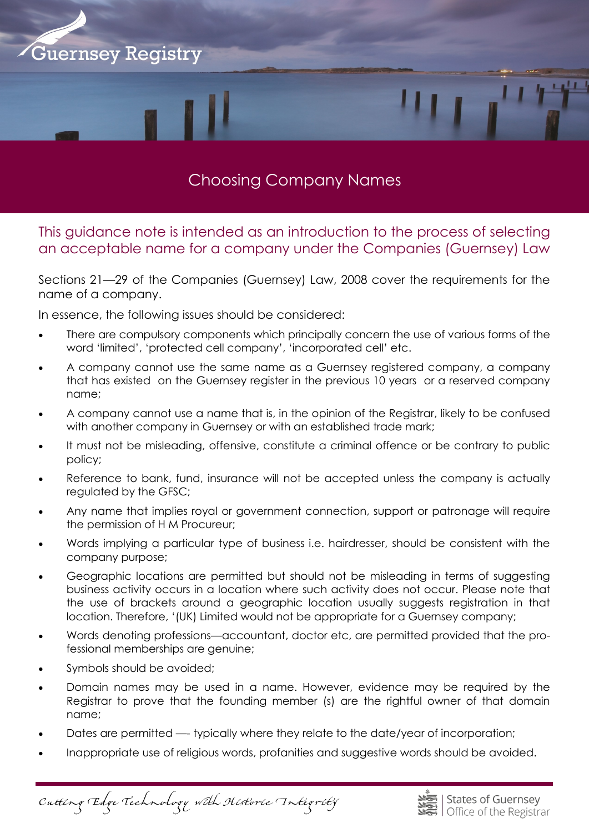

# Choosing Company Names

This guidance note is intended as an introduction to the process of selecting an acceptable name for a company under the Companies (Guernsey) Law

Sections 21—29 of the Companies (Guernsey) Law, 2008 cover the requirements for the name of a company.

In essence, the following issues should be considered:

- There are compulsory components which principally concern the use of various forms of the word 'limited', 'protected cell company', 'incorporated cell' etc.
- A company cannot use the same name as a Guernsey registered company, a company that has existed on the Guernsey register in the previous 10 years or a reserved company name;
- A company cannot use a name that is, in the opinion of the Registrar, likely to be confused with another company in Guernsey or with an established trade mark;
- It must not be misleading, offensive, constitute a criminal offence or be contrary to public policy;
- Reference to bank, fund, insurance will not be accepted unless the company is actually regulated by the GFSC;
- Any name that implies royal or government connection, support or patronage will require the permission of H M Procureur;
- Words implying a particular type of business i.e. hairdresser, should be consistent with the company purpose;
- Geographic locations are permitted but should not be misleading in terms of suggesting business activity occurs in a location where such activity does not occur. Please note that the use of brackets around a geographic location usually suggests registration in that location. Therefore, '(UK) Limited would not be appropriate for a Guernsey company;
- Words denoting professions—accountant, doctor etc, are permitted provided that the professional memberships are genuine;
- Symbols should be avoided;
- Domain names may be used in a name. However, evidence may be required by the Registrar to prove that the founding member (s) are the rightful owner of that domain name;
- Dates are permitted —- typically where they relate to the date/year of incorporation;
- Inappropriate use of religious words, profanities and suggestive words should be avoided.

Cutting Edge Technology with Historic Integrity